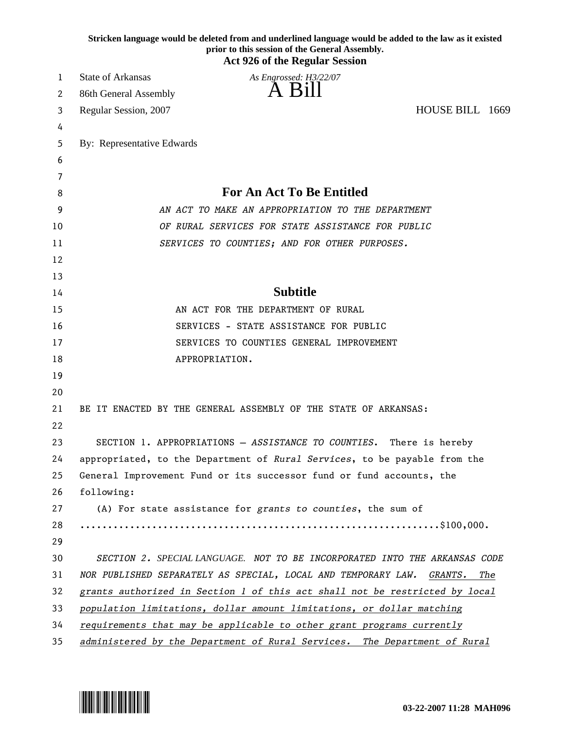|          | Stricken language would be deleted from and underlined language would be added to the law as it existed<br>prior to this session of the General Assembly.<br><b>Act 926 of the Regular Session</b> |
|----------|----------------------------------------------------------------------------------------------------------------------------------------------------------------------------------------------------|
| 1        | <b>State of Arkansas</b><br>As Engrossed: H3/22/07                                                                                                                                                 |
| 2        | A Bill<br>86th General Assembly                                                                                                                                                                    |
| 3        | HOUSE BILL 1669<br>Regular Session, 2007                                                                                                                                                           |
| 4        |                                                                                                                                                                                                    |
| 5        | By: Representative Edwards                                                                                                                                                                         |
| 6        |                                                                                                                                                                                                    |
| 7        |                                                                                                                                                                                                    |
| 8        | <b>For An Act To Be Entitled</b>                                                                                                                                                                   |
| 9        | AN ACT TO MAKE AN APPROPRIATION TO THE DEPARTMENT                                                                                                                                                  |
| 10       | OF RURAL SERVICES FOR STATE ASSISTANCE FOR PUBLIC                                                                                                                                                  |
| 11       | SERVICES TO COUNTIES; AND FOR OTHER PURPOSES.                                                                                                                                                      |
| 12       |                                                                                                                                                                                                    |
| 13       |                                                                                                                                                                                                    |
| 14       | <b>Subtitle</b>                                                                                                                                                                                    |
| 15       | AN ACT FOR THE DEPARTMENT OF RURAL                                                                                                                                                                 |
| 16       | SERVICES - STATE ASSISTANCE FOR PUBLIC                                                                                                                                                             |
| 17       | SERVICES TO COUNTIES GENERAL IMPROVEMENT                                                                                                                                                           |
| 18       | APPROPRIATION.                                                                                                                                                                                     |
| 19       |                                                                                                                                                                                                    |
| 20       |                                                                                                                                                                                                    |
| 21<br>22 | BE IT ENACTED BY THE GENERAL ASSEMBLY OF THE STATE OF ARKANSAS:                                                                                                                                    |
| 23       | SECTION 1. APPROPRIATIONS - ASSISTANCE TO COUNTIES.<br>There is hereby                                                                                                                             |
| 24       | appropriated, to the Department of Rural Services, to be payable from the                                                                                                                          |
| 25       | General Improvement Fund or its successor fund or fund accounts, the                                                                                                                               |
| 26       | following:                                                                                                                                                                                         |
| 27       | (A) For state assistance for grants to counties, the sum of                                                                                                                                        |
| 28       |                                                                                                                                                                                                    |
| 29       |                                                                                                                                                                                                    |
| 30       | SECTION 2. SPECIAL LANGUAGE. NOT TO BE INCORPORATED INTO THE ARKANSAS CODE                                                                                                                         |
| 31       | NOR PUBLISHED SEPARATELY AS SPECIAL, LOCAL AND TEMPORARY LAW. GRANTS.<br>The                                                                                                                       |
| 32       | grants authorized in Section 1 of this act shall not be restricted by local                                                                                                                        |
| 33       | population limitations, dollar amount limitations, or dollar matching                                                                                                                              |
| 34       | requirements that may be applicable to other grant programs currently                                                                                                                              |
| 35       | administered by the Department of Rural Services. The Department of Rural                                                                                                                          |

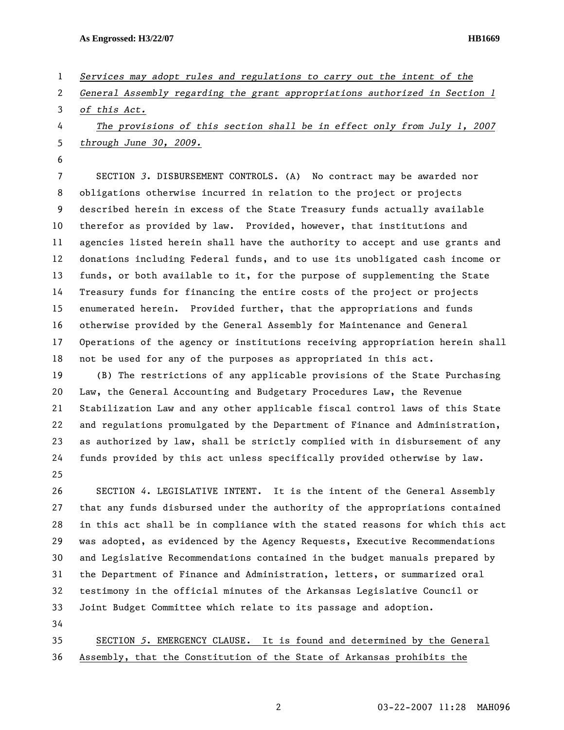- 1 *Services may adopt rules and regulations to carry out the intent of the*
- 2 *General Assembly regarding the grant appropriations authorized in Section 1*
- 3 *of this Act.*

4 *The provisions of this section shall be in effect only from July 1, 2007*  5 *through June 30, 2009.*

6

7 SECTION *3*. DISBURSEMENT CONTROLS. (A) No contract may be awarded nor 8 obligations otherwise incurred in relation to the project or projects 9 described herein in excess of the State Treasury funds actually available 10 therefor as provided by law. Provided, however, that institutions and 11 agencies listed herein shall have the authority to accept and use grants and 12 donations including Federal funds, and to use its unobligated cash income or 13 funds, or both available to it, for the purpose of supplementing the State 14 Treasury funds for financing the entire costs of the project or projects 15 enumerated herein. Provided further, that the appropriations and funds 16 otherwise provided by the General Assembly for Maintenance and General 17 Operations of the agency or institutions receiving appropriation herein shall 18 not be used for any of the purposes as appropriated in this act.

19 (B) The restrictions of any applicable provisions of the State Purchasing 20 Law, the General Accounting and Budgetary Procedures Law, the Revenue 21 Stabilization Law and any other applicable fiscal control laws of this State 22 and regulations promulgated by the Department of Finance and Administration, 23 as authorized by law, shall be strictly complied with in disbursement of any 24 funds provided by this act unless specifically provided otherwise by law. 25

26 SECTION *4*. LEGISLATIVE INTENT. It is the intent of the General Assembly 27 that any funds disbursed under the authority of the appropriations contained 28 in this act shall be in compliance with the stated reasons for which this act 29 was adopted, as evidenced by the Agency Requests, Executive Recommendations 30 and Legislative Recommendations contained in the budget manuals prepared by 31 the Department of Finance and Administration, letters, or summarized oral 32 testimony in the official minutes of the Arkansas Legislative Council or 33 Joint Budget Committee which relate to its passage and adoption. 34

35 SECTION *5*. EMERGENCY CLAUSE. It is found and determined by the General 36 Assembly, that the Constitution of the State of Arkansas prohibits the